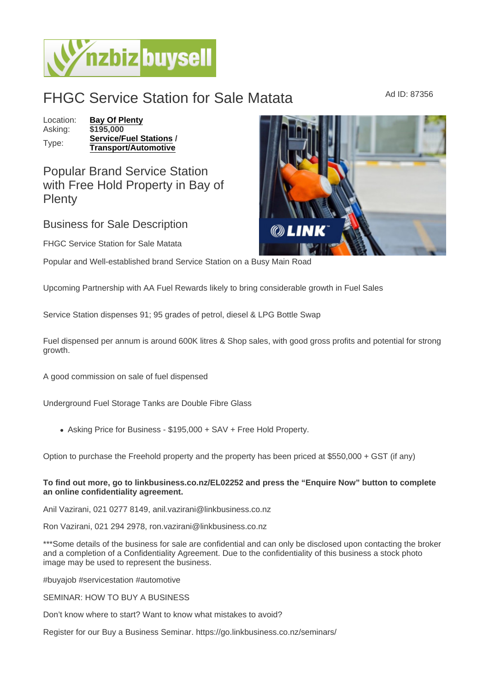## FHGC Service Station for Sale Matata Ad ID: 87356

Location: [Bay Of Plenty](https://www.nzbizbuysell.co.nz/businesses-for-sale/location/Bay-Of-Plenty) Asking: \$195,000 Type: [Service/Fuel Stations](https://www.nzbizbuysell.co.nz/businesses-for-sale/Service-Stations/New-Zealand) / Transport/Automotive

Popular Brand Service Station with Free Hold Property in Bay of **Plenty** 

Business for Sale Description

FHGC Service Station for Sale Matata

Popular and Well-established brand Service Station on a Busy Main Road

Upcoming Partnership with AA Fuel Rewards likely to bring considerable growth in Fuel Sales

Service Station dispenses 91; 95 grades of petrol, diesel & LPG Bottle Swap

Fuel dispensed per annum is around 600K litres & Shop sales, with good gross profits and potential for strong growth.

A good commission on sale of fuel dispensed

Underground Fuel Storage Tanks are Double Fibre Glass

Asking Price for Business - \$195,000 + SAV + Free Hold Property.

Option to purchase the Freehold property and the property has been priced at \$550,000 + GST (if any)

To find out more, go to linkbusiness.co.nz/EL02252 and press the "Enquire Now" button to complete an online confidentiality agreement.

Anil Vazirani, 021 0277 8149, anil.vazirani@linkbusiness.co.nz

Ron Vazirani, 021 294 2978, ron.vazirani@linkbusiness.co.nz

\*\*\*Some details of the business for sale are confidential and can only be disclosed upon contacting the broker and a completion of a Confidentiality Agreement. Due to the confidentiality of this business a stock photo image may be used to represent the business.

#buyajob #servicestation #automotive

SEMINAR: HOW TO BUY A BUSINESS

Don't know where to start? Want to know what mistakes to avoid?

Register for our Buy a Business Seminar. https://go.linkbusiness.co.nz/seminars/